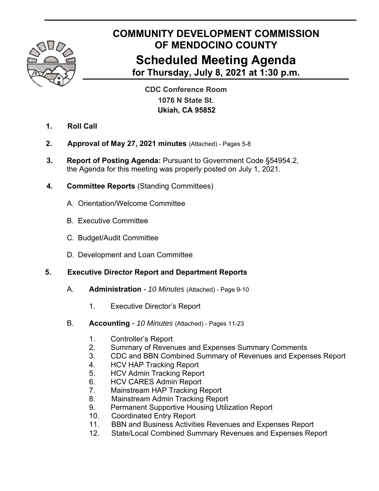

# **COMMUNITY DEVELOPMENT COMMISSION OF MENDOCINO COUNTY Scheduled Meeting Agenda for Thursday, July 8, 2021 at 1:30 p.m.**

**CDC Conference Room 1076 N State St. Ukiah, CA 95852**

- **1. Roll Call**
- **2. Approval of May 27, 2021 minutes** (Attached) Pages 5-8
- **3. Report of Posting Agenda:** Pursuant to Government Code §54954.2, the Agenda for this meeting was properly posted on July 1, 2021.
- **4. Committee Reports** (Standing Committees)
	- A. Orientation/Welcome Committee
	- B. Executive Committee
	- C. Budget/Audit Committee
	- D. Development and Loan Committee

## **5. Executive Director Report and Department Reports**

- A. **Administration**  *10 Minutes* (Attached) Page 9-10
	- 1. Executive Director's Report
- B. **Accounting**  *10 Minutes* (Attached) Pages 11-23
	- 1. Controller's Report
	- 2. Summary of Revenues and Expenses Summary Comments
	- 3. CDC and BBN Combined Summary of Revenues and Expenses Report
	- 4. HCV HAP Tracking Report
	- 5. HCV Admin Tracking Report
	- 6. HCV CARES Admin Report
	- 7. Mainstream HAP Tracking Report
	- 8. Mainstream Admin Tracking Report
	- 9. Permanent Supportive Housing Utilization Report
	- 10. Coordinated Entry Report
	- 11. BBN and Business Activities Revenues and Expenses Report
	- 12. State/Local Combined Summary Revenues and Expenses Report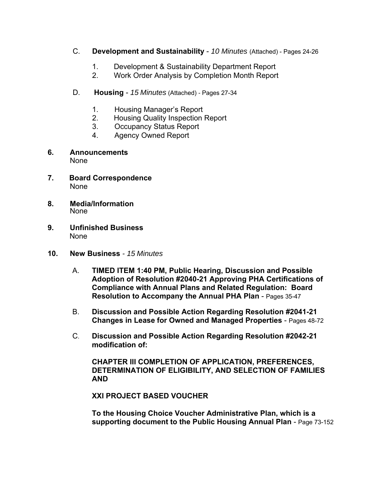- C. **Development and Sustainability**  *10 Minutes* (Attached) Pages 24-26
	- 1. Development & Sustainability Department Report
	- 2. Work Order Analysis by Completion Month Report
- D. **Housing**  *15 Minutes* (Attached) Pages 27-34
	- 1. Housing Manager's Report
	- 2. Housing Quality Inspection Report
	- 3. Occupancy Status Report
	- 4. Agency Owned Report
- **6. Announcements** None
- **7. Board Correspondence** None
- **8. Media/Information** None
- **9. Unfinished Business**  None
- **10. New Business**  *15 Minutes*
	- A. **TIMED ITEM 1:40 PM, Public Hearing, Discussion and Possible Adoption of Resolution #2040-21 Approving PHA Certifications of Compliance with Annual Plans and Related Regulation: Board Resolution to Accompany the Annual PHA Plan** - Pages 35-47
	- B. **Discussion and Possible Action Regarding Resolution #2041-21 Changes in Lease for Owned and Managed Properties** - Pages 48-72
	- C. **Discussion and Possible Action Regarding Resolution #2042-21 modification of:**

**CHAPTER III COMPLETION OF APPLICATION, PREFERENCES, DETERMINATION OF ELIGIBILITY, AND SELECTION OF FAMILIES AND** 

**XXI PROJECT BASED VOUCHER** 

**To the Housing Choice Voucher Administrative Plan, which is a supporting document to the Public Housing Annual Plan** - Page 73-152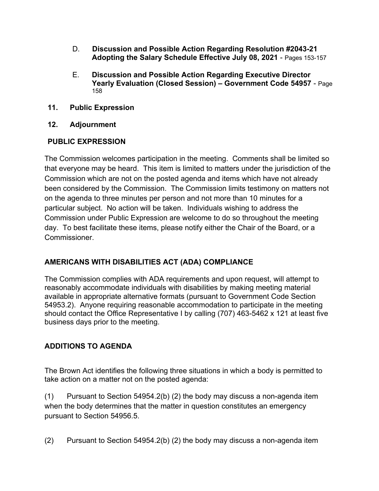- D. **Discussion and Possible Action Regarding Resolution #2043-21 Adopting the Salary Schedule Effective July 08, 2021** - Pages 153-157
- E. **Discussion and Possible Action Regarding Executive Director Yearly Evaluation (Closed Session) – Government Code 54957** - Page 158
- **11. Public Expression**
- **12. Adjournment**

## **PUBLIC EXPRESSION**

The Commission welcomes participation in the meeting. Comments shall be limited so that everyone may be heard. This item is limited to matters under the jurisdiction of the Commission which are not on the posted agenda and items which have not already been considered by the Commission. The Commission limits testimony on matters not on the agenda to three minutes per person and not more than 10 minutes for a particular subject. No action will be taken. Individuals wishing to address the Commission under Public Expression are welcome to do so throughout the meeting day. To best facilitate these items, please notify either the Chair of the Board, or a Commissioner.

## **AMERICANS WITH DISABILITIES ACT (ADA) COMPLIANCE**

The Commission complies with ADA requirements and upon request, will attempt to reasonably accommodate individuals with disabilities by making meeting material available in appropriate alternative formats (pursuant to Government Code Section 54953.2). Anyone requiring reasonable accommodation to participate in the meeting should contact the Office Representative I by calling (707) 463-5462 x 121 at least five business days prior to the meeting.

## **ADDITIONS TO AGENDA**

The Brown Act identifies the following three situations in which a body is permitted to take action on a matter not on the posted agenda:

(1) Pursuant to Section 54954.2(b) (2) the body may discuss a non-agenda item when the body determines that the matter in question constitutes an emergency pursuant to Section 54956.5.

(2) Pursuant to Section 54954.2(b) (2) the body may discuss a non-agenda item